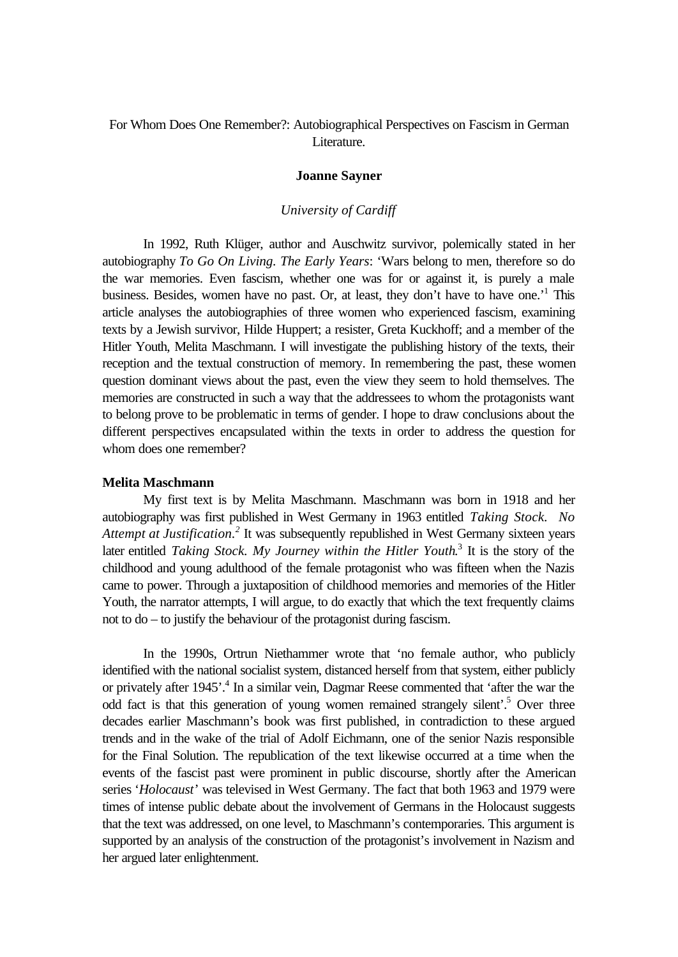# For Whom Does One Remember?: Autobiographical Perspectives on Fascism in German Literature.

#### **Joanne Sayner**

#### *University of Cardiff*

In 1992, Ruth Klüger, author and Auschwitz survivor, polemically stated in her autobiography *To Go On Living. The Early Years*: 'Wars belong to men, therefore so do the war memories. Even fascism, whether one was for or against it, is purely a male business. Besides, women have no past. Or, at least, they don't have to have one.<sup>1</sup> This article analyses the autobiographies of three women who experienced fascism, examining texts by a Jewish survivor, Hilde Huppert; a resister, Greta Kuckhoff; and a member of the Hitler Youth, Melita Maschmann. I will investigate the publishing history of the texts, their reception and the textual construction of memory. In remembering the past, these women question dominant views about the past, even the view they seem to hold themselves. The memories are constructed in such a way that the addressees to whom the protagonists want to belong prove to be problematic in terms of gender. I hope to draw conclusions about the different perspectives encapsulated within the texts in order to address the question for whom does one remember?

### **Melita Maschmann**

My first text is by Melita Maschmann. Maschmann was born in 1918 and her autobiography was first published in West Germany in 1963 entitled *Taking Stock. No* Attempt at Justification.<sup>2</sup> It was subsequently republished in West Germany sixteen years later entitled *Taking Stock. My Journey within the Hitler Youth*.<sup>3</sup> It is the story of the childhood and young adulthood of the female protagonist who was fifteen when the Nazis came to power. Through a juxtaposition of childhood memories and memories of the Hitler Youth, the narrator attempts, I will argue, to do exactly that which the text frequently claims not to do – to justify the behaviour of the protagonist during fascism.

In the 1990s, Ortrun Niethammer wrote that 'no female author, who publicly identified with the national socialist system, distanced herself from that system, either publicly or privately after 1945'.<sup>4</sup> In a similar vein, Dagmar Reese commented that 'after the war the odd fact is that this generation of young women remained strangely silent'.<sup>5</sup> Over three decades earlier Maschmann's book was first published, in contradiction to these argued trends and in the wake of the trial of Adolf Eichmann, one of the senior Nazis responsible for the Final Solution. The republication of the text likewise occurred at a time when the events of the fascist past were prominent in public discourse, shortly after the American series '*Holocaust*' was televised in West Germany. The fact that both 1963 and 1979 were times of intense public debate about the involvement of Germans in the Holocaust suggests that the text was addressed, on one level, to Maschmann's contemporaries. This argument is supported by an analysis of the construction of the protagonist's involvement in Nazism and her argued later enlightenment.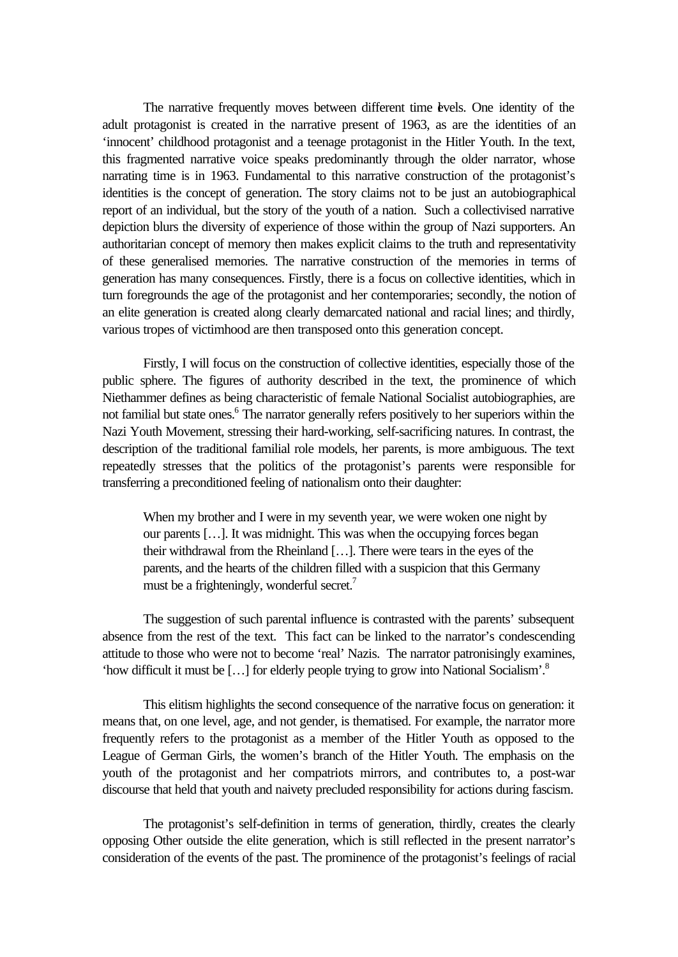The narrative frequently moves between different time levels. One identity of the adult protagonist is created in the narrative present of 1963, as are the identities of an 'innocent' childhood protagonist and a teenage protagonist in the Hitler Youth. In the text, this fragmented narrative voice speaks predominantly through the older narrator, whose narrating time is in 1963. Fundamental to this narrative construction of the protagonist's identities is the concept of generation. The story claims not to be just an autobiographical report of an individual, but the story of the youth of a nation. Such a collectivised narrative depiction blurs the diversity of experience of those within the group of Nazi supporters. An authoritarian concept of memory then makes explicit claims to the truth and representativity of these generalised memories. The narrative construction of the memories in terms of generation has many consequences. Firstly, there is a focus on collective identities, which in turn foregrounds the age of the protagonist and her contemporaries; secondly, the notion of an elite generation is created along clearly demarcated national and racial lines; and thirdly, various tropes of victimhood are then transposed onto this generation concept.

Firstly, I will focus on the construction of collective identities, especially those of the public sphere. The figures of authority described in the text, the prominence of which Niethammer defines as being characteristic of female National Socialist autobiographies, are not familial but state ones.<sup>6</sup> The narrator generally refers positively to her superiors within the Nazi Youth Movement, stressing their hard-working, self-sacrificing natures. In contrast, the description of the traditional familial role models, her parents, is more ambiguous. The text repeatedly stresses that the politics of the protagonist's parents were responsible for transferring a preconditioned feeling of nationalism onto their daughter:

When my brother and I were in my seventh year, we were woken one night by our parents […]. It was midnight. This was when the occupying forces began their withdrawal from the Rheinland […]. There were tears in the eyes of the parents, and the hearts of the children filled with a suspicion that this Germany must be a frighteningly, wonderful secret.<sup>7</sup>

The suggestion of such parental influence is contrasted with the parents' subsequent absence from the rest of the text. This fact can be linked to the narrator's condescending attitude to those who were not to become 'real' Nazis. The narrator patronisingly examines, 'how difficult it must be […] for elderly people trying to grow into National Socialism'.<sup>8</sup>

This elitism highlights the second consequence of the narrative focus on generation: it means that, on one level, age, and not gender, is thematised. For example, the narrator more frequently refers to the protagonist as a member of the Hitler Youth as opposed to the League of German Girls, the women's branch of the Hitler Youth. The emphasis on the youth of the protagonist and her compatriots mirrors, and contributes to, a post-war discourse that held that youth and naivety precluded responsibility for actions during fascism.

The protagonist's self-definition in terms of generation, thirdly, creates the clearly opposing Other outside the elite generation, which is still reflected in the present narrator's consideration of the events of the past. The prominence of the protagonist's feelings of racial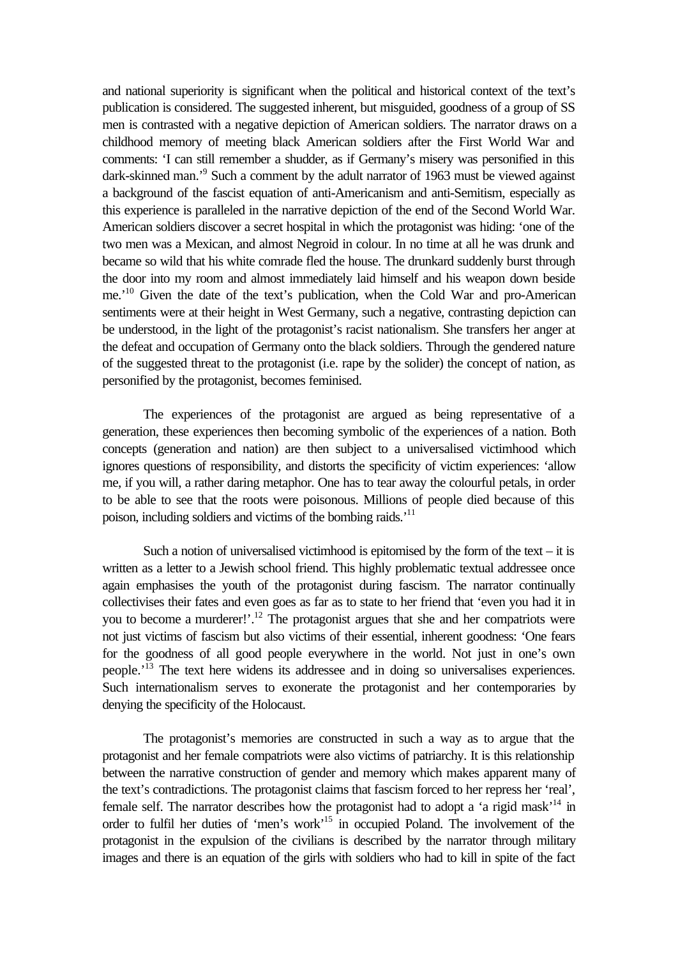and national superiority is significant when the political and historical context of the text's publication is considered. The suggested inherent, but misguided, goodness of a group of SS men is contrasted with a negative depiction of American soldiers. The narrator draws on a childhood memory of meeting black American soldiers after the First World War and comments: 'I can still remember a shudder, as if Germany's misery was personified in this dark-skinned man.'<sup>9</sup> Such a comment by the adult narrator of 1963 must be viewed against a background of the fascist equation of anti-Americanism and anti-Semitism, especially as this experience is paralleled in the narrative depiction of the end of the Second World War. American soldiers discover a secret hospital in which the protagonist was hiding: 'one of the two men was a Mexican, and almost Negroid in colour. In no time at all he was drunk and became so wild that his white comrade fled the house. The drunkard suddenly burst through the door into my room and almost immediately laid himself and his weapon down beside me.<sup>'10</sup> Given the date of the text's publication, when the Cold War and pro-American sentiments were at their height in West Germany, such a negative, contrasting depiction can be understood, in the light of the protagonist's racist nationalism. She transfers her anger at the defeat and occupation of Germany onto the black soldiers. Through the gendered nature of the suggested threat to the protagonist (i.e. rape by the solider) the concept of nation, as personified by the protagonist, becomes feminised.

The experiences of the protagonist are argued as being representative of a generation, these experiences then becoming symbolic of the experiences of a nation. Both concepts (generation and nation) are then subject to a universalised victimhood which ignores questions of responsibility, and distorts the specificity of victim experiences: 'allow me, if you will, a rather daring metaphor. One has to tear away the colourful petals, in order to be able to see that the roots were poisonous. Millions of people died because of this poison, including soldiers and victims of the bombing raids.'<sup>11</sup>

Such a notion of universalised victimhood is epitomised by the form of the text – it is written as a letter to a Jewish school friend. This highly problematic textual addressee once again emphasises the youth of the protagonist during fascism. The narrator continually collectivises their fates and even goes as far as to state to her friend that 'even you had it in you to become a murderer!'.<sup>12</sup> The protagonist argues that she and her compatriots were not just victims of fascism but also victims of their essential, inherent goodness: 'One fears for the goodness of all good people everywhere in the world. Not just in one's own people.'<sup>13</sup> The text here widens its addressee and in doing so universalises experiences. Such internationalism serves to exonerate the protagonist and her contemporaries by denying the specificity of the Holocaust.

The protagonist's memories are constructed in such a way as to argue that the protagonist and her female compatriots were also victims of patriarchy. It is this relationship between the narrative construction of gender and memory which makes apparent many of the text's contradictions. The protagonist claims that fascism forced to her repress her 'real', female self. The narrator describes how the protagonist had to adopt a 'a rigid mask'<sup>14</sup> in order to fulfil her duties of 'men's work'<sup>15</sup> in occupied Poland. The involvement of the protagonist in the expulsion of the civilians is described by the narrator through military images and there is an equation of the girls with soldiers who had to kill in spite of the fact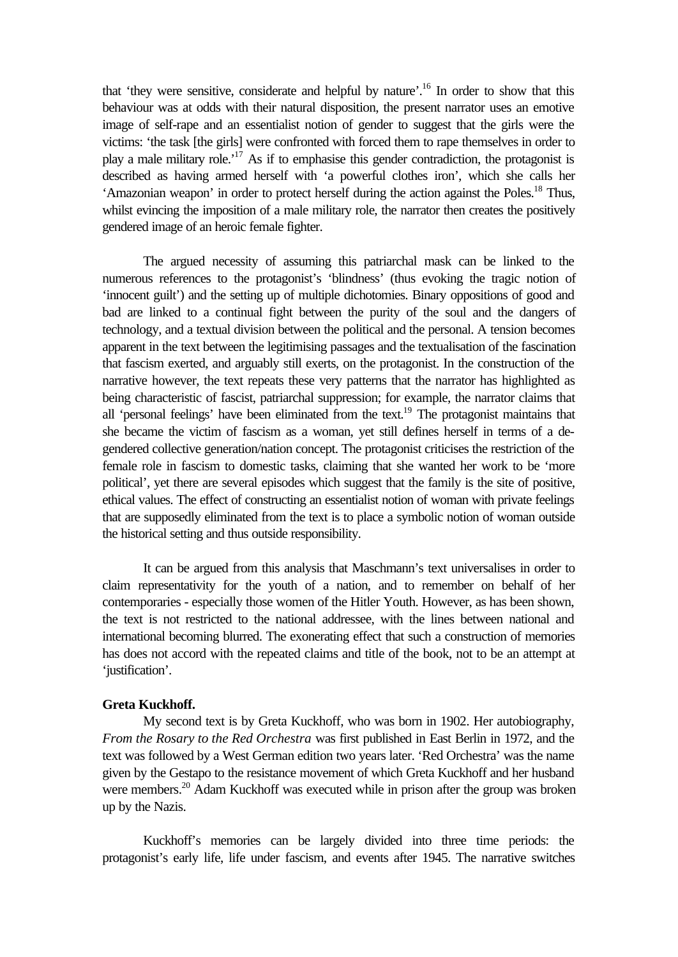that 'they were sensitive, considerate and helpful by nature'.<sup>16</sup> In order to show that this behaviour was at odds with their natural disposition, the present narrator uses an emotive image of self-rape and an essentialist notion of gender to suggest that the girls were the victims: 'the task [the girls] were confronted with forced them to rape themselves in order to play a male military role.'<sup>17</sup> As if to emphasise this gender contradiction, the protagonist is described as having armed herself with 'a powerful clothes iron', which she calls her 'Amazonian weapon' in order to protect herself during the action against the Poles.<sup>18</sup> Thus, whilst evincing the imposition of a male military role, the narrator then creates the positively gendered image of an heroic female fighter.

The argued necessity of assuming this patriarchal mask can be linked to the numerous references to the protagonist's 'blindness' (thus evoking the tragic notion of 'innocent guilt') and the setting up of multiple dichotomies. Binary oppositions of good and bad are linked to a continual fight between the purity of the soul and the dangers of technology, and a textual division between the political and the personal. A tension becomes apparent in the text between the legitimising passages and the textualisation of the fascination that fascism exerted, and arguably still exerts, on the protagonist. In the construction of the narrative however, the text repeats these very patterns that the narrator has highlighted as being characteristic of fascist, patriarchal suppression; for example, the narrator claims that all 'personal feelings' have been eliminated from the text.<sup>19</sup> The protagonist maintains that she became the victim of fascism as a woman, yet still defines herself in terms of a degendered collective generation/nation concept. The protagonist criticises the restriction of the female role in fascism to domestic tasks, claiming that she wanted her work to be 'more political', yet there are several episodes which suggest that the family is the site of positive, ethical values. The effect of constructing an essentialist notion of woman with private feelings that are supposedly eliminated from the text is to place a symbolic notion of woman outside the historical setting and thus outside responsibility.

It can be argued from this analysis that Maschmann's text universalises in order to claim representativity for the youth of a nation, and to remember on behalf of her contemporaries - especially those women of the Hitler Youth. However, as has been shown, the text is not restricted to the national addressee, with the lines between national and international becoming blurred. The exonerating effect that such a construction of memories has does not accord with the repeated claims and title of the book, not to be an attempt at 'justification'.

## **Greta Kuckhoff.**

My second text is by Greta Kuckhoff, who was born in 1902. Her autobiography, *From the Rosary to the Red Orchestra* was first published in East Berlin in 1972, and the text was followed by a West German edition two years later. 'Red Orchestra' was the name given by the Gestapo to the resistance movement of which Greta Kuckhoff and her husband were members.<sup>20</sup> Adam Kuckhoff was executed while in prison after the group was broken up by the Nazis.

Kuckhoff's memories can be largely divided into three time periods: the protagonist's early life, life under fascism, and events after 1945. The narrative switches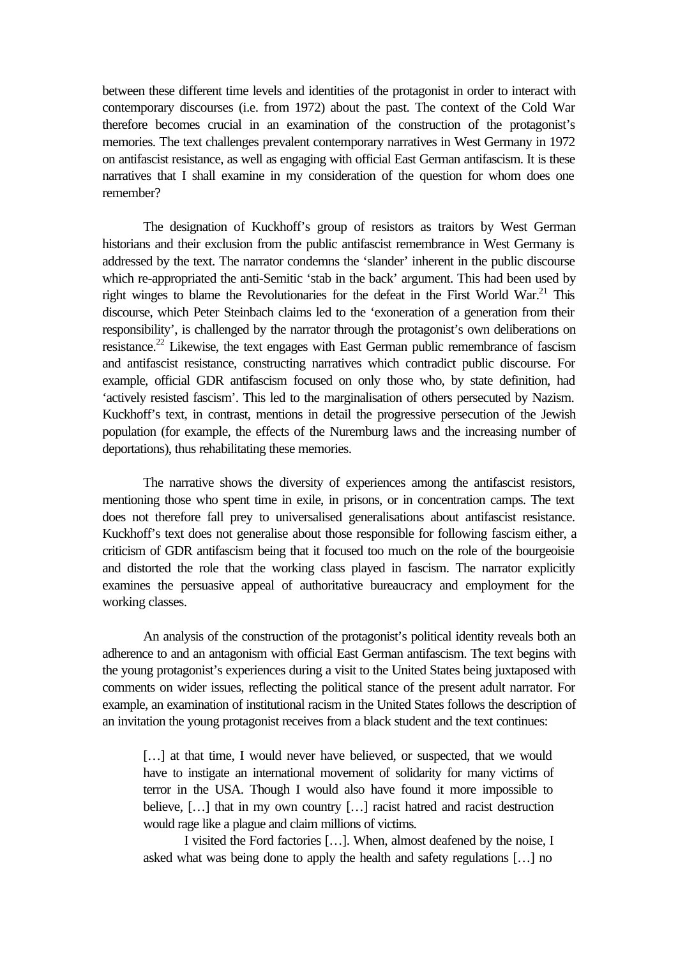between these different time levels and identities of the protagonist in order to interact with contemporary discourses (i.e. from 1972) about the past. The context of the Cold War therefore becomes crucial in an examination of the construction of the protagonist's memories. The text challenges prevalent contemporary narratives in West Germany in 1972 on antifascist resistance, as well as engaging with official East German antifascism. It is these narratives that I shall examine in my consideration of the question for whom does one remember?

The designation of Kuckhoff's group of resistors as traitors by West German historians and their exclusion from the public antifascist remembrance in West Germany is addressed by the text. The narrator condemns the 'slander' inherent in the public discourse which re-appropriated the anti-Semitic 'stab in the back' argument. This had been used by right winges to blame the Revolutionaries for the defeat in the First World War.<sup>21</sup> This discourse, which Peter Steinbach claims led to the 'exoneration of a generation from their responsibility', is challenged by the narrator through the protagonist's own deliberations on resistance.<sup>22</sup> Likewise, the text engages with East German public remembrance of fascism and antifascist resistance, constructing narratives which contradict public discourse. For example, official GDR antifascism focused on only those who, by state definition, had 'actively resisted fascism'. This led to the marginalisation of others persecuted by Nazism. Kuckhoff's text, in contrast, mentions in detail the progressive persecution of the Jewish population (for example, the effects of the Nuremburg laws and the increasing number of deportations), thus rehabilitating these memories.

The narrative shows the diversity of experiences among the antifascist resistors, mentioning those who spent time in exile, in prisons, or in concentration camps. The text does not therefore fall prey to universalised generalisations about antifascist resistance. Kuckhoff's text does not generalise about those responsible for following fascism either, a criticism of GDR antifascism being that it focused too much on the role of the bourgeoisie and distorted the role that the working class played in fascism. The narrator explicitly examines the persuasive appeal of authoritative bureaucracy and employment for the working classes.

An analysis of the construction of the protagonist's political identity reveals both an adherence to and an antagonism with official East German antifascism. The text begins with the young protagonist's experiences during a visit to the United States being juxtaposed with comments on wider issues, reflecting the political stance of the present adult narrator. For example, an examination of institutional racism in the United States follows the description of an invitation the young protagonist receives from a black student and the text continues:

[...] at that time, I would never have believed, or suspected, that we would have to instigate an international movement of solidarity for many victims of terror in the USA. Though I would also have found it more impossible to believe, [...] that in my own country [...] racist hatred and racist destruction would rage like a plague and claim millions of victims.

I visited the Ford factories […]. When, almost deafened by the noise, I asked what was being done to apply the health and safety regulations […] no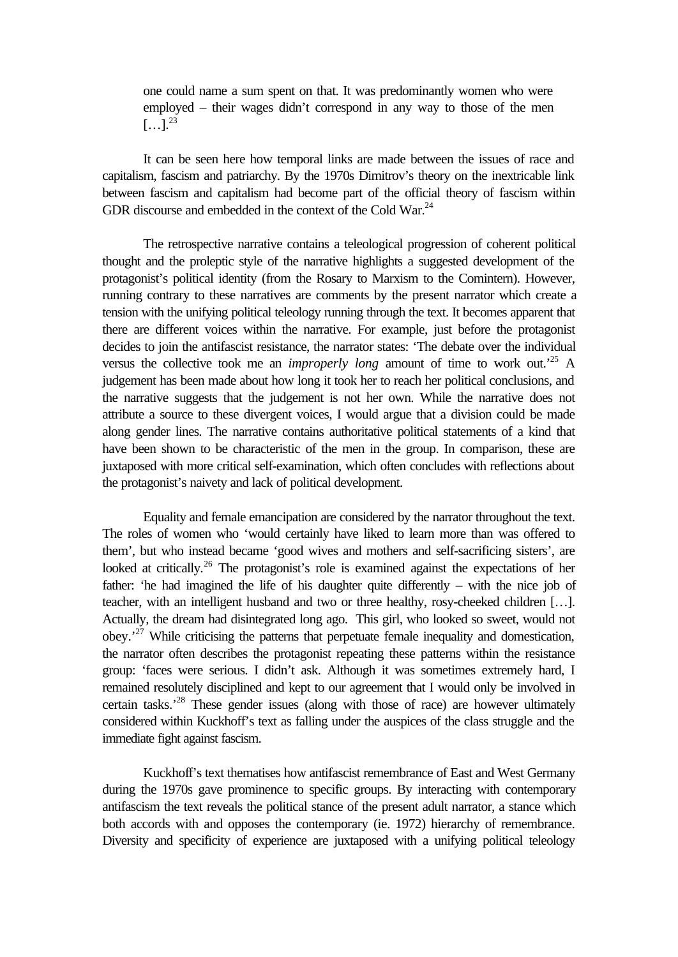one could name a sum spent on that. It was predominantly women who were employed – their wages didn't correspond in any way to those of the men  $\left[\ldots\right]$ <sup>23</sup>

It can be seen here how temporal links are made between the issues of race and capitalism, fascism and patriarchy. By the 1970s Dimitrov's theory on the inextricable link between fascism and capitalism had become part of the official theory of fascism within GDR discourse and embedded in the context of the Cold War.<sup>24</sup>

The retrospective narrative contains a teleological progression of coherent political thought and the proleptic style of the narrative highlights a suggested development of the protagonist's political identity (from the Rosary to Marxism to the Comintern). However, running contrary to these narratives are comments by the present narrator which create a tension with the unifying political teleology running through the text. It becomes apparent that there are different voices within the narrative. For example, just before the protagonist decides to join the antifascist resistance, the narrator states: 'The debate over the individual versus the collective took me an *improperly long* amount of time to work out.'<sup>25</sup> A judgement has been made about how long it took her to reach her political conclusions, and the narrative suggests that the judgement is not her own. While the narrative does not attribute a source to these divergent voices, I would argue that a division could be made along gender lines. The narrative contains authoritative political statements of a kind that have been shown to be characteristic of the men in the group. In comparison, these are juxtaposed with more critical self-examination, which often concludes with reflections about the protagonist's naivety and lack of political development.

Equality and female emancipation are considered by the narrator throughout the text. The roles of women who 'would certainly have liked to learn more than was offered to them', but who instead became 'good wives and mothers and self-sacrificing sisters', are looked at critically.<sup>26</sup> The protagonist's role is examined against the expectations of her father: 'he had imagined the life of his daughter quite differently – with the nice job of teacher, with an intelligent husband and two or three healthy, rosy-cheeked children […]. Actually, the dream had disintegrated long ago. This girl, who looked so sweet, would not obey.'<sup>27</sup> While criticising the patterns that perpetuate female inequality and domestication, the narrator often describes the protagonist repeating these patterns within the resistance group: 'faces were serious. I didn't ask. Although it was sometimes extremely hard, I remained resolutely disciplined and kept to our agreement that I would only be involved in certain tasks.'<sup>28</sup> These gender issues (along with those of race) are however ultimately considered within Kuckhoff's text as falling under the auspices of the class struggle and the immediate fight against fascism.

Kuckhoff's text thematises how antifascist remembrance of East and West Germany during the 1970s gave prominence to specific groups. By interacting with contemporary antifascism the text reveals the political stance of the present adult narrator, a stance which both accords with and opposes the contemporary (ie. 1972) hierarchy of remembrance. Diversity and specificity of experience are juxtaposed with a unifying political teleology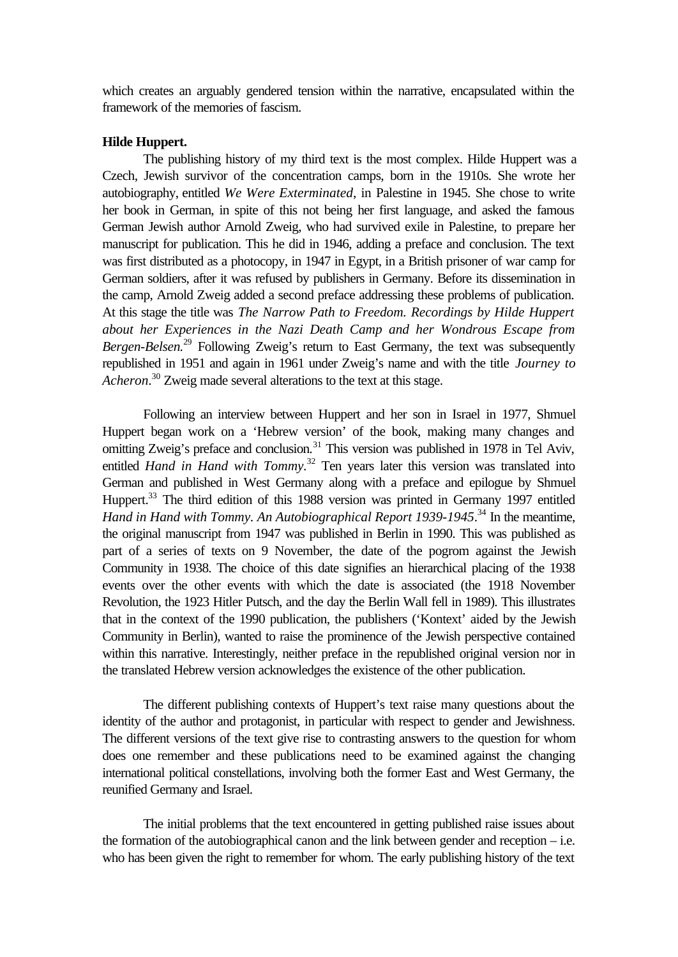which creates an arguably gendered tension within the narrative, encapsulated within the framework of the memories of fascism.

## **Hilde Huppert.**

The publishing history of my third text is the most complex. Hilde Huppert was a Czech, Jewish survivor of the concentration camps, born in the 1910s. She wrote her autobiography, entitled *We Were Exterminated*, in Palestine in 1945. She chose to write her book in German, in spite of this not being her first language, and asked the famous German Jewish author Arnold Zweig, who had survived exile in Palestine, to prepare her manuscript for publication. This he did in 1946, adding a preface and conclusion. The text was first distributed as a photocopy, in 1947 in Egypt, in a British prisoner of war camp for German soldiers, after it was refused by publishers in Germany. Before its dissemination in the camp, Arnold Zweig added a second preface addressing these problems of publication. At this stage the title was *The Narrow Path to Freedom. Recordings by Hilde Huppert about her Experiences in the Nazi Death Camp and her Wondrous Escape from Bergen-Belsen.*<sup>29</sup> Following Zweig's return to East Germany, the text was subsequently republished in 1951 and again in 1961 under Zweig's name and with the title *Journey to Acheron*. <sup>30</sup> Zweig made several alterations to the text at this stage.

Following an interview between Huppert and her son in Israel in 1977, Shmuel Huppert began work on a 'Hebrew version' of the book, making many changes and omitting Zweig's preface and conclusion.<sup>31</sup> This version was published in 1978 in Tel Aviv, entitled *Hand in Hand with Tommy*.<sup>32</sup> Ten years later this version was translated into German and published in West Germany along with a preface and epilogue by Shmuel Huppert.<sup>33</sup> The third edition of this 1988 version was printed in Germany 1997 entitled Hand in Hand with Tommy. An Autobiographical Report 1939-1945.<sup>34</sup> In the meantime, the original manuscript from 1947 was published in Berlin in 1990. This was published as part of a series of texts on 9 November, the date of the pogrom against the Jewish Community in 1938. The choice of this date signifies an hierarchical placing of the 1938 events over the other events with which the date is associated (the 1918 November Revolution, the 1923 Hitler Putsch, and the day the Berlin Wall fell in 1989). This illustrates that in the context of the 1990 publication, the publishers ('Kontext' aided by the Jewish Community in Berlin), wanted to raise the prominence of the Jewish perspective contained within this narrative. Interestingly, neither preface in the republished original version nor in the translated Hebrew version acknowledges the existence of the other publication.

The different publishing contexts of Huppert's text raise many questions about the identity of the author and protagonist, in particular with respect to gender and Jewishness. The different versions of the text give rise to contrasting answers to the question for whom does one remember and these publications need to be examined against the changing international political constellations, involving both the former East and West Germany, the reunified Germany and Israel.

The initial problems that the text encountered in getting published raise issues about the formation of the autobiographical canon and the link between gender and reception – i.e. who has been given the right to remember for whom. The early publishing history of the text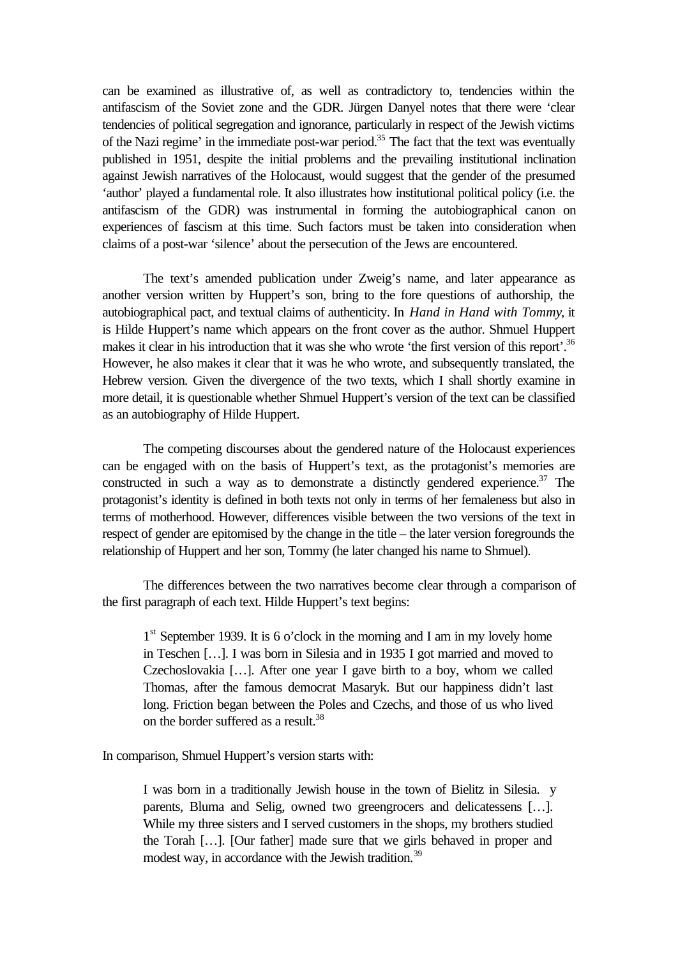can be examined as illustrative of, as well as contradictory to, tendencies within the antifascism of the Soviet zone and the GDR. Jürgen Danyel notes that there were 'clear tendencies of political segregation and ignorance, particularly in respect of the Jewish victims of the Nazi regime' in the immediate post-war period.<sup>35</sup> The fact that the text was eventually published in 1951, despite the initial problems and the prevailing institutional inclination against Jewish narratives of the Holocaust, would suggest that the gender of the presumed 'author' played a fundamental role. It also illustrates how institutional political policy (i.e. the antifascism of the GDR) was instrumental in forming the autobiographical canon on experiences of fascism at this time. Such factors must be taken into consideration when claims of a post-war 'silence' about the persecution of the Jews are encountered.

The text's amended publication under Zweig's name, and later appearance as another version written by Huppert's son, bring to the fore questions of authorship, the autobiographical pact, and textual claims of authenticity. In *Hand in Hand with Tommy*, it is Hilde Huppert's name which appears on the front cover as the author. Shmuel Huppert makes it clear in his introduction that it was she who wrote 'the first version of this report'.<sup>36</sup> However, he also makes it clear that it was he who wrote, and subsequently translated, the Hebrew version. Given the divergence of the two texts, which I shall shortly examine in more detail, it is questionable whether Shmuel Huppert's version of the text can be classified as an autobiography of Hilde Huppert.

The competing discourses about the gendered nature of the Holocaust experiences can be engaged with on the basis of Huppert's text, as the protagonist's memories are constructed in such a way as to demonstrate a distinctly gendered experience.<sup>37</sup> The protagonist's identity is defined in both texts not only in terms of her femaleness but also in terms of motherhood. However, differences visible between the two versions of the text in respect of gender are epitomised by the change in the title – the later version foregrounds the relationship of Huppert and her son, Tommy (he later changed his name to Shmuel).

The differences between the two narratives become clear through a comparison of the first paragraph of each text. Hilde Huppert's text begins:

1<sup>st</sup> September 1939. It is 6 o'clock in the morning and I am in my lovely home in Teschen […]. I was born in Silesia and in 1935 I got married and moved to Czechoslovakia […]. After one year I gave birth to a boy, whom we called Thomas, after the famous democrat Masaryk. But our happiness didn't last long. Friction began between the Poles and Czechs, and those of us who lived on the border suffered as a result.<sup>38</sup>

In comparison, Shmuel Huppert's version starts with:

I was born in a traditionally Jewish house in the town of Bielitz in Silesia. y parents, Bluma and Selig, owned two greengrocers and delicatessens […]. While my three sisters and I served customers in the shops, my brothers studied the Torah […]. [Our father] made sure that we girls behaved in proper and modest way, in accordance with the Jewish tradition.<sup>39</sup>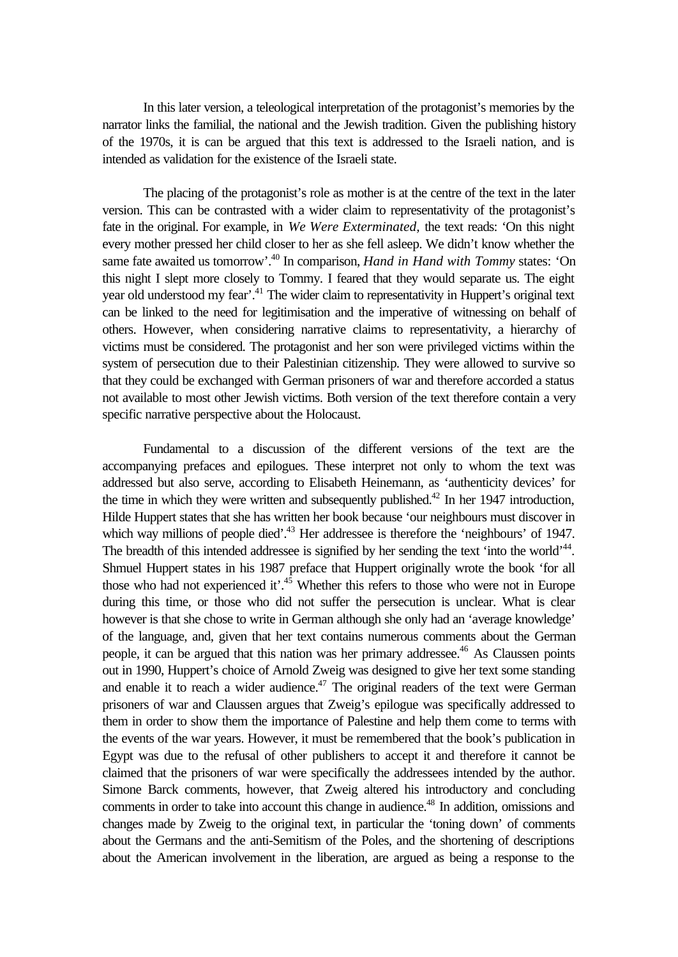In this later version, a teleological interpretation of the protagonist's memories by the narrator links the familial, the national and the Jewish tradition. Given the publishing history of the 1970s, it is can be argued that this text is addressed to the Israeli nation, and is intended as validation for the existence of the Israeli state.

The placing of the protagonist's role as mother is at the centre of the text in the later version. This can be contrasted with a wider claim to representativity of the protagonist's fate in the original. For example, in *We Were Exterminated,* the text reads: 'On this night every mother pressed her child closer to her as she fell asleep. We didn't know whether the same fate awaited us tomorrow'.<sup>40</sup> In comparison, *Hand in Hand with Tommy* states: 'On this night I slept more closely to Tommy. I feared that they would separate us. The eight year old understood my fear<sup>'.41</sup> The wider claim to representativity in Huppert's original text can be linked to the need for legitimisation and the imperative of witnessing on behalf of others. However, when considering narrative claims to representativity, a hierarchy of victims must be considered. The protagonist and her son were privileged victims within the system of persecution due to their Palestinian citizenship. They were allowed to survive so that they could be exchanged with German prisoners of war and therefore accorded a status not available to most other Jewish victims. Both version of the text therefore contain a very specific narrative perspective about the Holocaust.

Fundamental to a discussion of the different versions of the text are the accompanying prefaces and epilogues. These interpret not only to whom the text was addressed but also serve, according to Elisabeth Heinemann, as 'authenticity devices' for the time in which they were written and subsequently published.<sup>42</sup> In her 1947 introduction, Hilde Huppert states that she has written her book because 'our neighbours must discover in which way millions of people died'.<sup>43</sup> Her addressee is therefore the 'neighbours' of 1947. The breadth of this intended addressee is signified by her sending the text 'into the world'<sup>44</sup>. Shmuel Huppert states in his 1987 preface that Huppert originally wrote the book 'for all those who had not experienced it'.<sup>45</sup> Whether this refers to those who were not in Europe during this time, or those who did not suffer the persecution is unclear. What is clear however is that she chose to write in German although she only had an 'average knowledge' of the language, and, given that her text contains numerous comments about the German people, it can be argued that this nation was her primary addressee.<sup>46</sup> As Claussen points out in 1990, Huppert's choice of Arnold Zweig was designed to give her text some standing and enable it to reach a wider audience. $47$  The original readers of the text were German prisoners of war and Claussen argues that Zweig's epilogue was specifically addressed to them in order to show them the importance of Palestine and help them come to terms with the events of the war years. However, it must be remembered that the book's publication in Egypt was due to the refusal of other publishers to accept it and therefore it cannot be claimed that the prisoners of war were specifically the addressees intended by the author. Simone Barck comments, however, that Zweig altered his introductory and concluding comments in order to take into account this change in audience.<sup>48</sup> In addition, omissions and changes made by Zweig to the original text, in particular the 'toning down' of comments about the Germans and the anti-Semitism of the Poles, and the shortening of descriptions about the American involvement in the liberation, are argued as being a response to the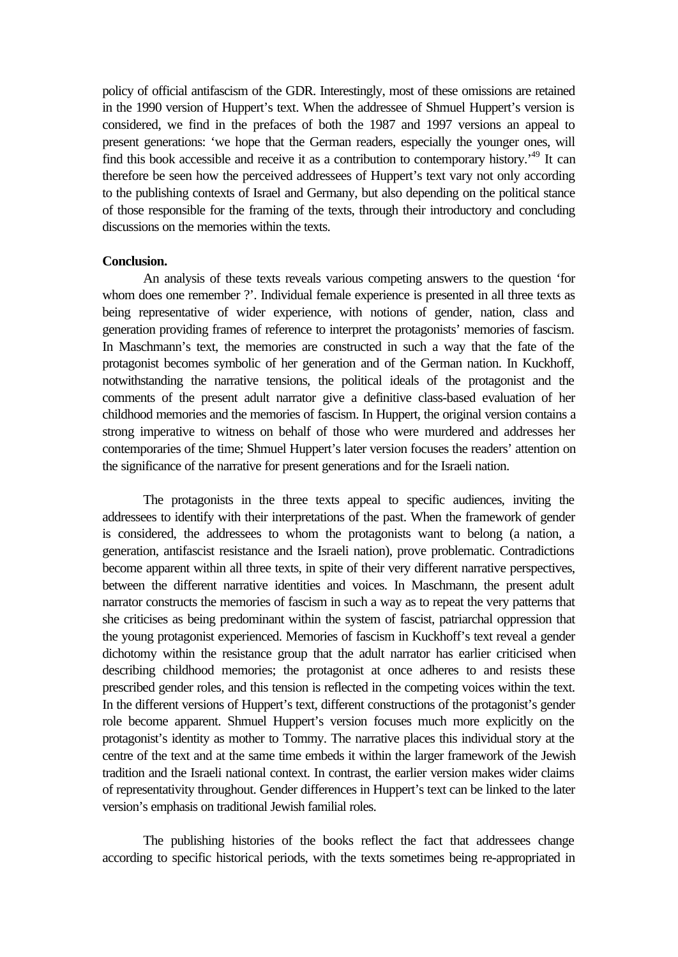policy of official antifascism of the GDR. Interestingly, most of these omissions are retained in the 1990 version of Huppert's text. When the addressee of Shmuel Huppert's version is considered, we find in the prefaces of both the 1987 and 1997 versions an appeal to present generations: 'we hope that the German readers, especially the younger ones, will find this book accessible and receive it as a contribution to contemporary history.<sup>49</sup> It can therefore be seen how the perceived addressees of Huppert's text vary not only according to the publishing contexts of Israel and Germany, but also depending on the political stance of those responsible for the framing of the texts, through their introductory and concluding discussions on the memories within the texts.

### **Conclusion.**

An analysis of these texts reveals various competing answers to the question 'for whom does one remember ?'. Individual female experience is presented in all three texts as being representative of wider experience, with notions of gender, nation, class and generation providing frames of reference to interpret the protagonists' memories of fascism. In Maschmann's text, the memories are constructed in such a way that the fate of the protagonist becomes symbolic of her generation and of the German nation. In Kuckhoff, notwithstanding the narrative tensions, the political ideals of the protagonist and the comments of the present adult narrator give a definitive class-based evaluation of her childhood memories and the memories of fascism. In Huppert, the original version contains a strong imperative to witness on behalf of those who were murdered and addresses her contemporaries of the time; Shmuel Huppert's later version focuses the readers' attention on the significance of the narrative for present generations and for the Israeli nation.

The protagonists in the three texts appeal to specific audiences, inviting the addressees to identify with their interpretations of the past. When the framework of gender is considered, the addressees to whom the protagonists want to belong (a nation, a generation, antifascist resistance and the Israeli nation), prove problematic. Contradictions become apparent within all three texts, in spite of their very different narrative perspectives, between the different narrative identities and voices. In Maschmann, the present adult narrator constructs the memories of fascism in such a way as to repeat the very patterns that she criticises as being predominant within the system of fascist, patriarchal oppression that the young protagonist experienced. Memories of fascism in Kuckhoff's text reveal a gender dichotomy within the resistance group that the adult narrator has earlier criticised when describing childhood memories; the protagonist at once adheres to and resists these prescribed gender roles, and this tension is reflected in the competing voices within the text. In the different versions of Huppert's text, different constructions of the protagonist's gender role become apparent. Shmuel Huppert's version focuses much more explicitly on the protagonist's identity as mother to Tommy. The narrative places this individual story at the centre of the text and at the same time embeds it within the larger framework of the Jewish tradition and the Israeli national context. In contrast, the earlier version makes wider claims of representativity throughout. Gender differences in Huppert's text can be linked to the later version's emphasis on traditional Jewish familial roles.

The publishing histories of the books reflect the fact that addressees change according to specific historical periods, with the texts sometimes being re-appropriated in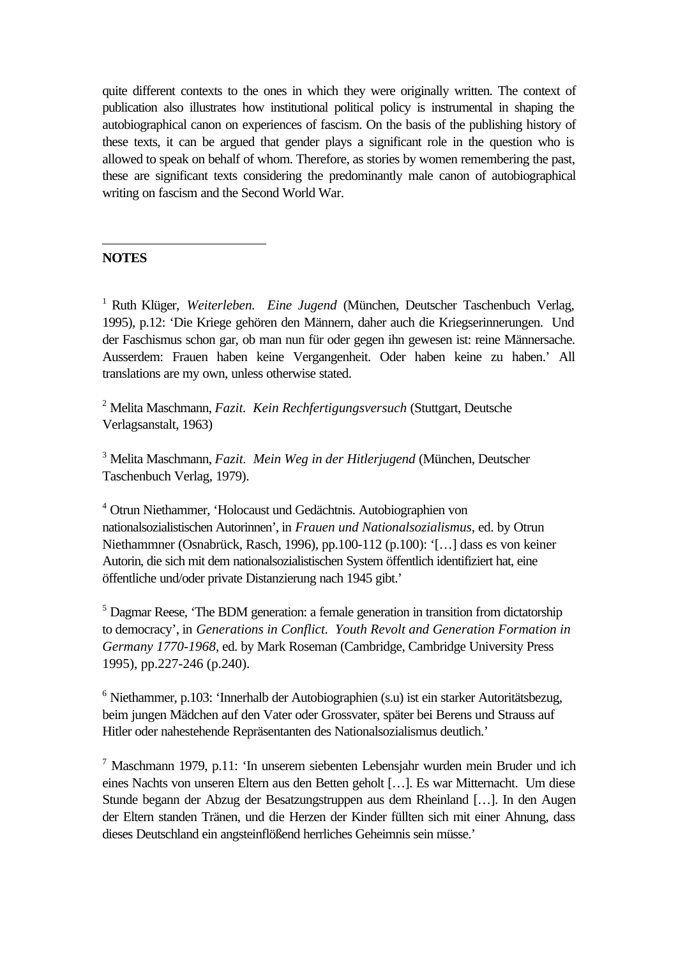quite different contexts to the ones in which they were originally written. The context of publication also illustrates how institutional political policy is instrumental in shaping the autobiographical canon on experiences of fascism. On the basis of the publishing history of these texts, it can be argued that gender plays a significant role in the question who is allowed to speak on behalf of whom. Therefore, as stories by women remembering the past, these are significant texts considering the predominantly male canon of autobiographical writing on fascism and the Second World War.

# **NOTES**

l

<sup>1</sup> Ruth Klüger, Weiterleben. Eine Jugend (München, Deutscher Taschenbuch Verlag, 1995), p.12: 'Die Kriege gehören den Männern, daher auch die Kriegserinnerungen. Und der Faschismus schon gar, ob man nun für oder gegen ihn gewesen ist: reine Männersache. Ausserdem: Frauen haben keine Vergangenheit. Oder haben keine zu haben.' All translations are my own, unless otherwise stated.

2 Melita Maschmann, *Fazit. Kein Rechfertigungsversuch* (Stuttgart, Deutsche Verlagsanstalt, 1963)

3 Melita Maschmann, *Fazit. Mein Weg in der Hitlerjugend* (München, Deutscher Taschenbuch Verlag, 1979).

4 Otrun Niethammer, 'Holocaust und Gedächtnis. Autobiographien von nationalsozialistischen Autorinnen', in *Frauen und Nationalsozialismus*, ed. by Otrun Niethammner (Osnabrück, Rasch, 1996), pp.100-112 (p.100): '[…] dass es von keiner Autorin, die sich mit dem nationalsozialistischen System öffentlich identifiziert hat, eine öffentliche und/oder private Distanzierung nach 1945 gibt.'

<sup>5</sup> Dagmar Reese, 'The BDM generation: a female generation in transition from dictatorship to democracy', in *Generations in Conflict. Youth Revolt and Generation Formation in Germany 1770-1968*, ed. by Mark Roseman (Cambridge, Cambridge University Press 1995), pp.227-246 (p.240).

<sup>6</sup> Niethammer, p.103: 'Innerhalb der Autobiographien (s.u) ist ein starker Autoritätsbezug, beim jungen Mädchen auf den Vater oder Grossvater, später bei Berens und Strauss auf Hitler oder nahestehende Repräsentanten des Nationalsozialismus deutlich.'

7 Maschmann 1979, p.11: 'In unserem siebenten Lebensjahr wurden mein Bruder und ich eines Nachts von unseren Eltern aus den Betten geholt […]. Es war Mitternacht. Um diese Stunde begann der Abzug der Besatzungstruppen aus dem Rheinland […]. In den Augen der Eltern standen Tränen, und die Herzen der Kinder füllten sich mit einer Ahnung, dass dieses Deutschland ein angsteinflößend herrliches Geheimnis sein müsse.'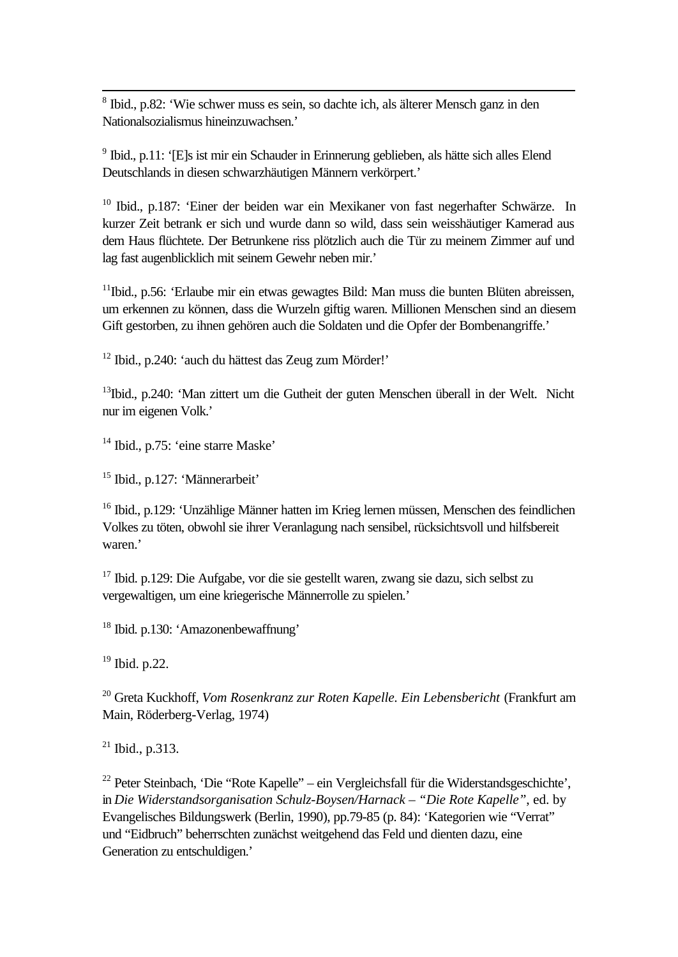<sup>8</sup> Ibid., p.82: 'Wie schwer muss es sein, so dachte ich, als älterer Mensch ganz in den Nationalsozialismus hineinzuwachsen.'

<sup>9</sup> Ibid., p.11: '[E]s ist mir ein Schauder in Erinnerung geblieben, als hätte sich alles Elend Deutschlands in diesen schwarzhäutigen Männern verkörpert.'

<sup>10</sup> Ibid., p.187: 'Einer der beiden war ein Mexikaner von fast negerhafter Schwärze. In kurzer Zeit betrank er sich und wurde dann so wild, dass sein weisshäutiger Kamerad aus dem Haus flüchtete. Der Betrunkene riss plötzlich auch die Tür zu meinem Zimmer auf und lag fast augenblicklich mit seinem Gewehr neben mir.'

<sup>11</sup>Ibid., p.56: 'Erlaube mir ein etwas gewagtes Bild: Man muss die bunten Blüten abreissen, um erkennen zu können, dass die Wurzeln giftig waren. Millionen Menschen sind an diesem Gift gestorben, zu ihnen gehören auch die Soldaten und die Opfer der Bombenangriffe.'

<sup>12</sup> Ibid., p.240: 'auch du hättest das Zeug zum Mörder!'

<sup>13</sup>Ibid., p.240: 'Man zittert um die Gutheit der guten Menschen überall in der Welt. Nicht nur im eigenen Volk.'

<sup>14</sup> Ibid., p.75: 'eine starre Maske'

<sup>15</sup> Ibid., p.127: 'Männerarbeit'

<sup>16</sup> Ibid., p.129: 'Unzählige Männer hatten im Krieg lernen müssen, Menschen des feindlichen Volkes zu töten, obwohl sie ihrer Veranlagung nach sensibel, rücksichtsvoll und hilfsbereit waren.'

<sup>17</sup> Ibid. p.129: Die Aufgabe, vor die sie gestellt waren, zwang sie dazu, sich selbst zu vergewaltigen, um eine kriegerische Männerrolle zu spielen.'

<sup>18</sup> Ibid. p.130: 'Amazonenbewaffnung'

<sup>19</sup> Ibid. p.22.

l

<sup>20</sup> Greta Kuckhoff, *Vom Rosenkranz zur Roten Kapelle. Ein Lebensbericht* (Frankfurt am Main, Röderberg-Verlag, 1974)

 $^{21}$  Ibid., p.313.

<sup>22</sup> Peter Steinbach, 'Die "Rote Kapelle" – ein Vergleichsfall für die Widerstandsgeschichte', in *Die Widerstandsorganisation Schulz-Boysen/Harnack – "Die Rote Kapelle"*, ed. by Evangelisches Bildungswerk (Berlin, 1990), pp.79-85 (p. 84): 'Kategorien wie "Verrat" und "Eidbruch" beherrschten zunächst weitgehend das Feld und dienten dazu, eine Generation zu entschuldigen.'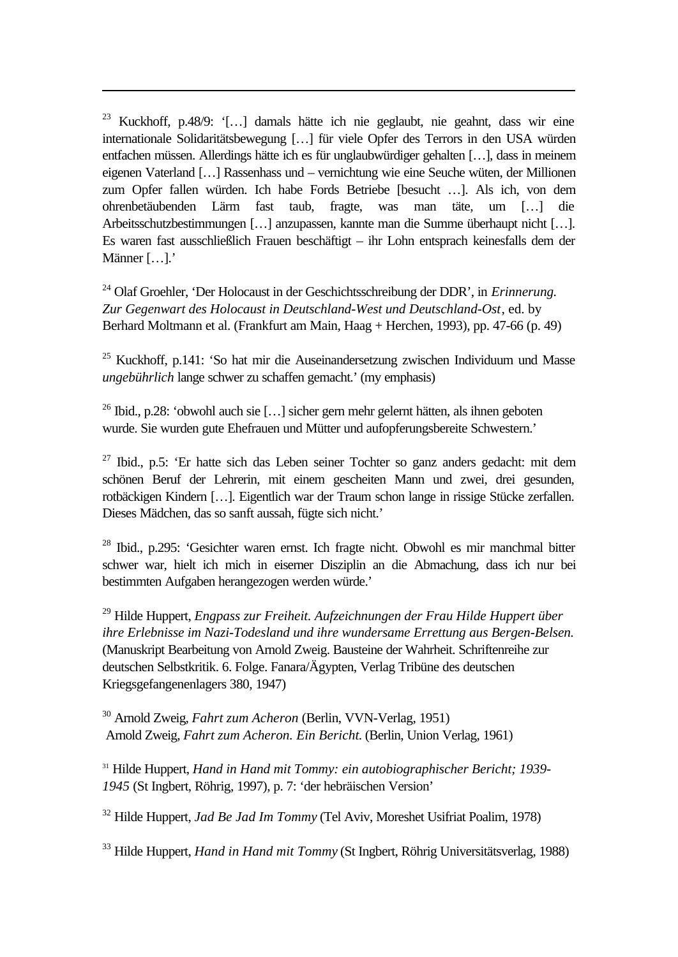<sup>23</sup> Kuckhoff, p.48/9: '[…] damals hätte ich nie geglaubt, nie geahnt, dass wir eine internationale Solidaritätsbewegung […] für viele Opfer des Terrors in den USA würden entfachen müssen. Allerdings hätte ich es für unglaubwürdiger gehalten […], dass in meinem eigenen Vaterland […] Rassenhass und – vernichtung wie eine Seuche wüten, der Millionen zum Opfer fallen würden. Ich habe Fords Betriebe [besucht …]. Als ich, von dem ohrenbetäubenden Lärm fast taub, fragte, was man täte, um […] die Arbeitsschutzbestimmungen […] anzupassen, kannte man die Summe überhaupt nicht […]. Es waren fast ausschließlich Frauen beschäftigt – ihr Lohn entsprach keinesfalls dem der Männer […].'

l

<sup>24</sup> Olaf Groehler, 'Der Holocaust in der Geschichtsschreibung der DDR', in *Erinnerung. Zur Gegenwart des Holocaust in Deutschland-West und Deutschland-Ost*, ed. by Berhard Moltmann et al. (Frankfurt am Main, Haag + Herchen, 1993), pp. 47-66 (p. 49)

<sup>25</sup> Kuckhoff, p.141: 'So hat mir die Auseinandersetzung zwischen Individuum und Masse *ungebührlich* lange schwer zu schaffen gemacht.' (my emphasis)

<sup>26</sup> Ibid., p.28: 'obwohl auch sie [...] sicher gern mehr gelernt hätten, als ihnen geboten wurde. Sie wurden gute Ehefrauen und Mütter und aufopferungsbereite Schwestern.'

 $27$  Ibid., p.5: 'Er hatte sich das Leben seiner Tochter so ganz anders gedacht: mit dem schönen Beruf der Lehrerin, mit einem gescheiten Mann und zwei, drei gesunden, rotbäckigen Kindern […]. Eigentlich war der Traum schon lange in rissige Stücke zerfallen. Dieses Mädchen, das so sanft aussah, fügte sich nicht.'

<sup>28</sup> Ibid., p.295: 'Gesichter waren ernst. Ich fragte nicht. Obwohl es mir manchmal bitter schwer war, hielt ich mich in eiserner Disziplin an die Abmachung, dass ich nur bei bestimmten Aufgaben herangezogen werden würde.'

<sup>29</sup> Hilde Huppert, *Engpass zur Freiheit. Aufzeichnungen der Frau Hilde Huppert über ihre Erlebnisse im Nazi-Todesland und ihre wundersame Errettung aus Bergen-Belsen.* (Manuskript Bearbeitung von Arnold Zweig. Bausteine der Wahrheit. Schriftenreihe zur deutschen Selbstkritik. 6. Folge. Fanara/Ägypten, Verlag Tribüne des deutschen Kriegsgefangenenlagers 380, 1947)

<sup>30</sup> Arnold Zweig, *Fahrt zum Acheron* (Berlin, VVN-Verlag, 1951) Arnold Zweig, *Fahrt zum Acheron. Ein Bericht.* (Berlin, Union Verlag, 1961)

<sup>31</sup> Hilde Huppert, *Hand in Hand mit Tommy: ein autobiographischer Bericht; 1939- 1945* (St Ingbert, Röhrig, 1997), p. 7: 'der hebräischen Version'

<sup>32</sup> Hilde Huppert, *Jad Be Jad Im Tommy* (Tel Aviv, Moreshet Usifriat Poalim, 1978)

<sup>33</sup> Hilde Huppert, *Hand in Hand mit Tommy* (St Ingbert, Röhrig Universitätsverlag, 1988)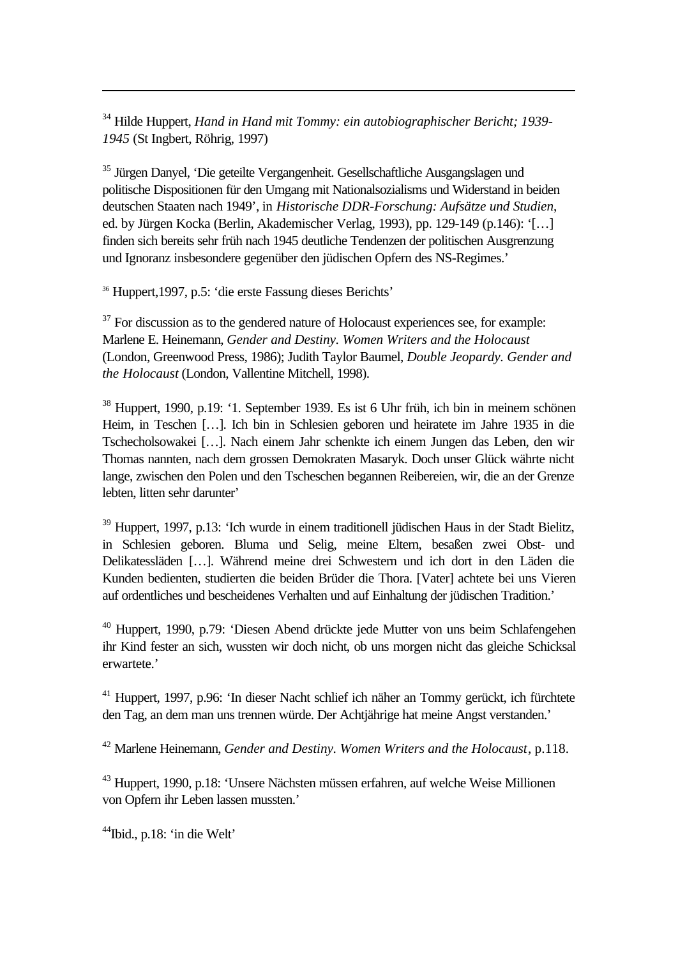<sup>34</sup> Hilde Huppert, *Hand in Hand mit Tommy: ein autobiographischer Bericht; 1939- 1945* (St Ingbert, Röhrig, 1997)

<sup>35</sup> Jürgen Danyel, 'Die geteilte Vergangenheit. Gesellschaftliche Ausgangslagen und politische Dispositionen für den Umgang mit Nationalsozialisms und Widerstand in beiden deutschen Staaten nach 1949', in *Historische DDR-Forschung: Aufsätze und Studien*, ed. by Jürgen Kocka (Berlin, Akademischer Verlag, 1993), pp. 129-149 (p.146): '[…] finden sich bereits sehr früh nach 1945 deutliche Tendenzen der politischen Ausgrenzung und Ignoranz insbesondere gegenüber den jüdischen Opfern des NS-Regimes.'

<sup>36</sup> Huppert,1997, p.5: 'die erste Fassung dieses Berichts'

l

 $37$  For discussion as to the gendered nature of Holocaust experiences see, for example: Marlene E. Heinemann, *Gender and Destiny. Women Writers and the Holocaust* (London, Greenwood Press, 1986); Judith Taylor Baumel, *Double Jeopardy. Gender and the Holocaust* (London, Vallentine Mitchell, 1998).

<sup>38</sup> Huppert, 1990, p.19: '1. September 1939. Es ist 6 Uhr früh, ich bin in meinem schönen Heim, in Teschen […]. Ich bin in Schlesien geboren und heiratete im Jahre 1935 in die Tschecholsowakei […]. Nach einem Jahr schenkte ich einem Jungen das Leben, den wir Thomas nannten, nach dem grossen Demokraten Masaryk. Doch unser Glück währte nicht lange, zwischen den Polen und den Tscheschen begannen Reibereien, wir, die an der Grenze lebten, litten sehr darunter'

<sup>39</sup> Huppert, 1997, p.13: 'Ich wurde in einem traditionell jüdischen Haus in der Stadt Bielitz, in Schlesien geboren. Bluma und Selig, meine Eltern, besaßen zwei Obst- und Delikatessläden […]. Während meine drei Schwestern und ich dort in den Läden die Kunden bedienten, studierten die beiden Brüder die Thora. [Vater] achtete bei uns Vieren auf ordentliches und bescheidenes Verhalten und auf Einhaltung der jüdischen Tradition.'

<sup>40</sup> Huppert, 1990, p.79: 'Diesen Abend drückte jede Mutter von uns beim Schlafengehen ihr Kind fester an sich, wussten wir doch nicht, ob uns morgen nicht das gleiche Schicksal erwartete.'

<sup>41</sup> Huppert, 1997, p.96: 'In dieser Nacht schlief ich näher an Tommy gerückt, ich fürchtete den Tag, an dem man uns trennen würde. Der Achtjährige hat meine Angst verstanden.'

<sup>42</sup> Marlene Heinemann, *Gender and Destiny. Women Writers and the Holocaust*, p.118.

<sup>43</sup> Huppert, 1990, p.18: 'Unsere Nächsten müssen erfahren, auf welche Weise Millionen von Opfern ihr Leben lassen mussten.'

<sup>44</sup>Ibid., p.18: 'in die Welt'